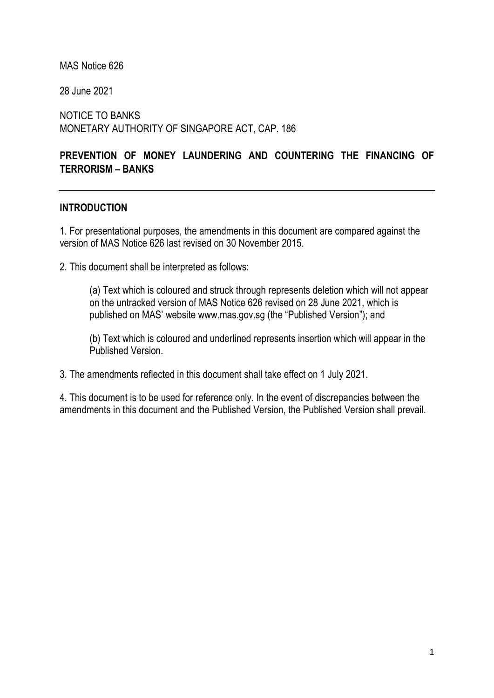MAS Notice 626

28 June 2021

NOTICE TO BANKS MONETARY AUTHORITY OF SINGAPORE ACT, CAP. 186

# PREVENTION OF MONEY LAUNDERING AND COUNTERING THE FINANCING OF TERRORISM – BANKS

#### **INTRODUCTION**

1. For presentational purposes, the amendments in this document are compared against the version of MAS Notice 626 last revised on 30 November 2015.

2. This document shall be interpreted as follows:

(a) Text which is coloured and struck through represents deletion which will not appear on the untracked version of MAS Notice 626 revised on 28 June 2021, which is published on MAS' website www.mas.gov.sg (the "Published Version"); and

(b) Text which is coloured and underlined represents insertion which will appear in the Published Version.

3. The amendments reflected in this document shall take effect on 1 July 2021.

4. This document is to be used for reference only. In the event of discrepancies between the amendments in this document and the Published Version, the Published Version shall prevail.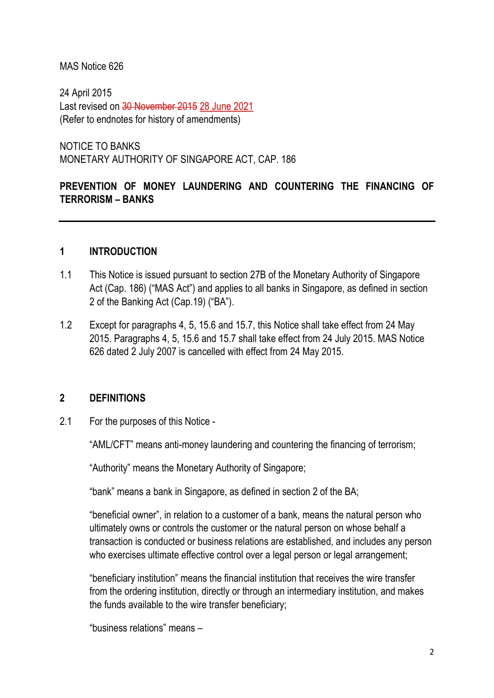#### MAS Notice 626

24 April 2015 Last revised on 30 November 2015 28 June 2021 (Refer to endnotes for history of amendments)

NOTICE TO BANKS MONETARY AUTHORITY OF SINGAPORE ACT, CAP. 186

## PREVENTION OF MONEY LAUNDERING AND COUNTERING THE FINANCING OF TERRORISM – BANKS

#### 1 INTRODUCTION

- 1.1 This Notice is issued pursuant to section 27B of the Monetary Authority of Singapore Act (Cap. 186) ("MAS Act") and applies to all banks in Singapore, as defined in section 2 of the Banking Act (Cap.19) ("BA").
- 1.2 Except for paragraphs 4, 5, 15.6 and 15.7, this Notice shall take effect from 24 May 2015. Paragraphs 4, 5, 15.6 and 15.7 shall take effect from 24 July 2015. MAS Notice 626 dated 2 July 2007 is cancelled with effect from 24 May 2015.

## 2 DEFINITIONS

2.1 For the purposes of this Notice -

"AML/CFT" means anti-money laundering and countering the financing of terrorism;

"Authority" means the Monetary Authority of Singapore;

"bank" means a bank in Singapore, as defined in section 2 of the BA;

"beneficial owner", in relation to a customer of a bank, means the natural person who ultimately owns or controls the customer or the natural person on whose behalf a transaction is conducted or business relations are established, and includes any person who exercises ultimate effective control over a legal person or legal arrangement;

"beneficiary institution" means the financial institution that receives the wire transfer from the ordering institution, directly or through an intermediary institution, and makes the funds available to the wire transfer beneficiary;

"business relations" means –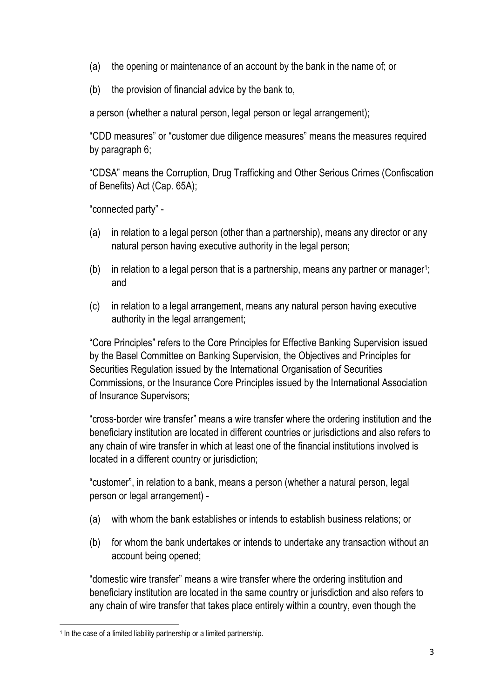- (a) the opening or maintenance of an account by the bank in the name of; or
- (b) the provision of financial advice by the bank to,

a person (whether a natural person, legal person or legal arrangement);

"CDD measures" or "customer due diligence measures" means the measures required by paragraph 6;

"CDSA" means the Corruption, Drug Trafficking and Other Serious Crimes (Confiscation of Benefits) Act (Cap. 65A);

"connected party" -

- (a) in relation to a legal person (other than a partnership), means any director or any natural person having executive authority in the legal person;
- $(b)$  in relation to a legal person that is a partnership, means any partner or manager<sup>1</sup>; and
- (c) in relation to a legal arrangement, means any natural person having executive authority in the legal arrangement;

"Core Principles" refers to the Core Principles for Effective Banking Supervision issued by the Basel Committee on Banking Supervision, the Objectives and Principles for Securities Regulation issued by the International Organisation of Securities Commissions, or the Insurance Core Principles issued by the International Association of Insurance Supervisors;

"cross-border wire transfer" means a wire transfer where the ordering institution and the beneficiary institution are located in different countries or jurisdictions and also refers to any chain of wire transfer in which at least one of the financial institutions involved is located in a different country or jurisdiction;

"customer", in relation to a bank, means a person (whether a natural person, legal person or legal arrangement) -

- (a) with whom the bank establishes or intends to establish business relations; or
- (b) for whom the bank undertakes or intends to undertake any transaction without an account being opened;

"domestic wire transfer" means a wire transfer where the ordering institution and beneficiary institution are located in the same country or jurisdiction and also refers to any chain of wire transfer that takes place entirely within a country, even though the

<sup>&</sup>lt;sup>1</sup> In the case of a limited liability partnership or a limited partnership.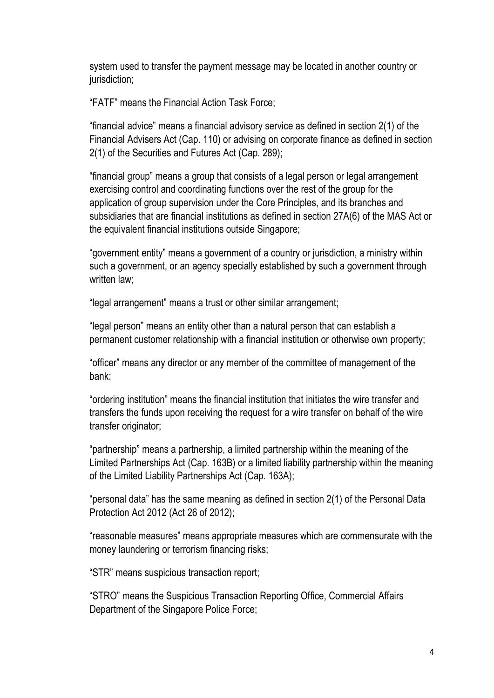system used to transfer the payment message may be located in another country or jurisdiction;

"FATF" means the Financial Action Task Force;

"financial advice" means a financial advisory service as defined in section 2(1) of the Financial Advisers Act (Cap. 110) or advising on corporate finance as defined in section 2(1) of the Securities and Futures Act (Cap. 289);

"financial group" means a group that consists of a legal person or legal arrangement exercising control and coordinating functions over the rest of the group for the application of group supervision under the Core Principles, and its branches and subsidiaries that are financial institutions as defined in section 27A(6) of the MAS Act or the equivalent financial institutions outside Singapore;

"government entity" means a government of a country or jurisdiction, a ministry within such a government, or an agency specially established by such a government through written law;

"legal arrangement" means a trust or other similar arrangement;

"legal person" means an entity other than a natural person that can establish a permanent customer relationship with a financial institution or otherwise own property;

"officer" means any director or any member of the committee of management of the bank;

"ordering institution" means the financial institution that initiates the wire transfer and transfers the funds upon receiving the request for a wire transfer on behalf of the wire transfer originator;

"partnership" means a partnership, a limited partnership within the meaning of the Limited Partnerships Act (Cap. 163B) or a limited liability partnership within the meaning of the Limited Liability Partnerships Act (Cap. 163A);

"personal data" has the same meaning as defined in section 2(1) of the Personal Data Protection Act 2012 (Act 26 of 2012);

"reasonable measures" means appropriate measures which are commensurate with the money laundering or terrorism financing risks;

"STR" means suspicious transaction report;

"STRO" means the Suspicious Transaction Reporting Office, Commercial Affairs Department of the Singapore Police Force;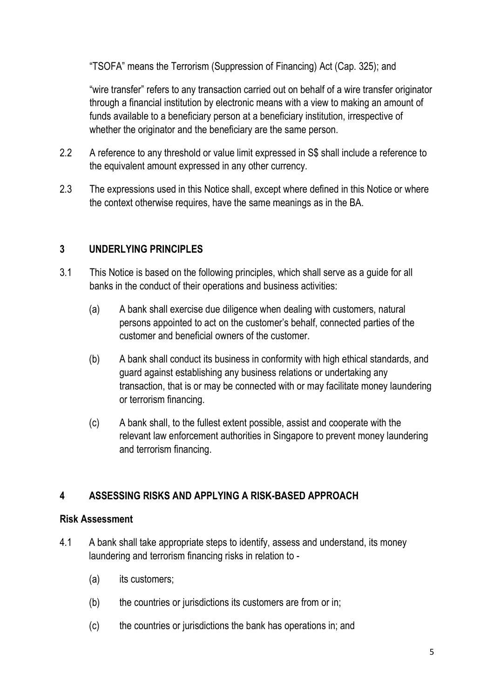"TSOFA" means the Terrorism (Suppression of Financing) Act (Cap. 325); and

"wire transfer" refers to any transaction carried out on behalf of a wire transfer originator through a financial institution by electronic means with a view to making an amount of funds available to a beneficiary person at a beneficiary institution, irrespective of whether the originator and the beneficiary are the same person.

- 2.2 A reference to any threshold or value limit expressed in S\$ shall include a reference to the equivalent amount expressed in any other currency.
- 2.3 The expressions used in this Notice shall, except where defined in this Notice or where the context otherwise requires, have the same meanings as in the BA.

## 3 UNDERLYING PRINCIPLES

- 3.1 This Notice is based on the following principles, which shall serve as a guide for all banks in the conduct of their operations and business activities:
	- (a) A bank shall exercise due diligence when dealing with customers, natural persons appointed to act on the customer's behalf, connected parties of the customer and beneficial owners of the customer.
	- (b) A bank shall conduct its business in conformity with high ethical standards, and guard against establishing any business relations or undertaking any transaction, that is or may be connected with or may facilitate money laundering or terrorism financing.
	- (c) A bank shall, to the fullest extent possible, assist and cooperate with the relevant law enforcement authorities in Singapore to prevent money laundering and terrorism financing.

# 4 ASSESSING RISKS AND APPLYING A RISK-BASED APPROACH

#### Risk Assessment

- 4.1 A bank shall take appropriate steps to identify, assess and understand, its money laundering and terrorism financing risks in relation to -
	- (a) its customers;
	- (b) the countries or jurisdictions its customers are from or in;
	- (c) the countries or jurisdictions the bank has operations in; and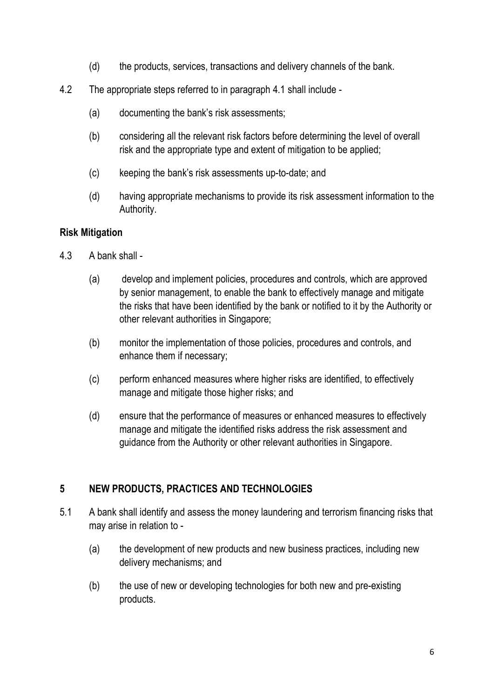- (d) the products, services, transactions and delivery channels of the bank.
- 4.2 The appropriate steps referred to in paragraph 4.1 shall include
	- (a) documenting the bank's risk assessments;
	- (b) considering all the relevant risk factors before determining the level of overall risk and the appropriate type and extent of mitigation to be applied;
	- (c) keeping the bank's risk assessments up-to-date; and
	- (d) having appropriate mechanisms to provide its risk assessment information to the Authority.

#### Risk Mitigation

- 4.3 A bank shall
	- (a) develop and implement policies, procedures and controls, which are approved by senior management, to enable the bank to effectively manage and mitigate the risks that have been identified by the bank or notified to it by the Authority or other relevant authorities in Singapore;
	- (b) monitor the implementation of those policies, procedures and controls, and enhance them if necessary;
	- (c) perform enhanced measures where higher risks are identified, to effectively manage and mitigate those higher risks; and
	- (d) ensure that the performance of measures or enhanced measures to effectively manage and mitigate the identified risks address the risk assessment and guidance from the Authority or other relevant authorities in Singapore.

## 5 NEW PRODUCTS, PRACTICES AND TECHNOLOGIES

- 5.1 A bank shall identify and assess the money laundering and terrorism financing risks that may arise in relation to -
	- (a) the development of new products and new business practices, including new delivery mechanisms; and
	- (b) the use of new or developing technologies for both new and pre-existing products.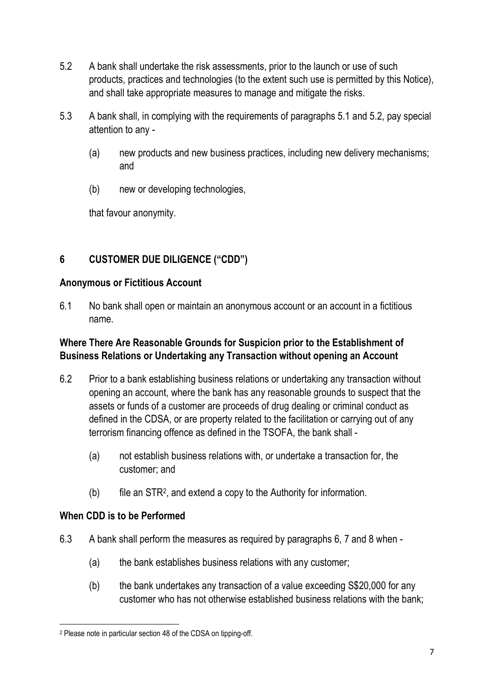- 5.2 A bank shall undertake the risk assessments, prior to the launch or use of such products, practices and technologies (to the extent such use is permitted by this Notice), and shall take appropriate measures to manage and mitigate the risks.
- 5.3 A bank shall, in complying with the requirements of paragraphs 5.1 and 5.2, pay special attention to any -
	- (a) new products and new business practices, including new delivery mechanisms; and
	- (b) new or developing technologies,

that favour anonymity.

# 6 CUSTOMER DUE DILIGENCE ("CDD")

#### Anonymous or Fictitious Account

6.1 No bank shall open or maintain an anonymous account or an account in a fictitious name.

#### Where There Are Reasonable Grounds for Suspicion prior to the Establishment of Business Relations or Undertaking any Transaction without opening an Account

- 6.2 Prior to a bank establishing business relations or undertaking any transaction without opening an account, where the bank has any reasonable grounds to suspect that the assets or funds of a customer are proceeds of drug dealing or criminal conduct as defined in the CDSA, or are property related to the facilitation or carrying out of any terrorism financing offence as defined in the TSOFA, the bank shall -
	- (a) not establish business relations with, or undertake a transaction for, the customer; and
- (b) file an STR<sup>2</sup> , and extend a copy to the Authority for information.

## When CDD is to be Performed

- 6.3 A bank shall perform the measures as required by paragraphs 6, 7 and 8 when
	- (a) the bank establishes business relations with any customer;
	- (b) the bank undertakes any transaction of a value exceeding S\$20,000 for any customer who has not otherwise established business relations with the bank;

<sup>2</sup> Please note in particular section 48 of the CDSA on tipping-off.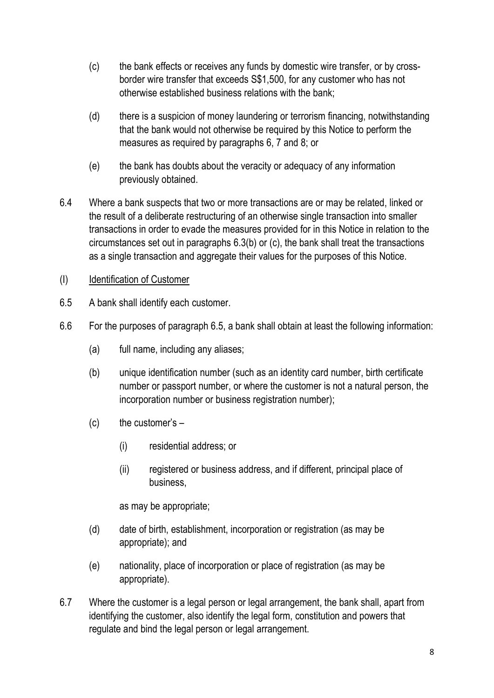- (c) the bank effects or receives any funds by domestic wire transfer, or by crossborder wire transfer that exceeds S\$1,500, for any customer who has not otherwise established business relations with the bank;
- (d) there is a suspicion of money laundering or terrorism financing, notwithstanding that the bank would not otherwise be required by this Notice to perform the measures as required by paragraphs 6, 7 and 8; or
- (e) the bank has doubts about the veracity or adequacy of any information previously obtained.
- 6.4 Where a bank suspects that two or more transactions are or may be related, linked or the result of a deliberate restructuring of an otherwise single transaction into smaller transactions in order to evade the measures provided for in this Notice in relation to the circumstances set out in paragraphs 6.3(b) or (c), the bank shall treat the transactions as a single transaction and aggregate their values for the purposes of this Notice.
- (I) Identification of Customer
- 6.5 A bank shall identify each customer.
- 6.6 For the purposes of paragraph 6.5, a bank shall obtain at least the following information:
	- (a) full name, including any aliases;
	- (b) unique identification number (such as an identity card number, birth certificate number or passport number, or where the customer is not a natural person, the incorporation number or business registration number);
	- $(c)$  the customer's  $-$ 
		- (i) residential address; or
		- (ii) registered or business address, and if different, principal place of business,

as may be appropriate;

- (d) date of birth, establishment, incorporation or registration (as may be appropriate); and
- (e) nationality, place of incorporation or place of registration (as may be appropriate).
- 6.7 Where the customer is a legal person or legal arrangement, the bank shall, apart from identifying the customer, also identify the legal form, constitution and powers that regulate and bind the legal person or legal arrangement.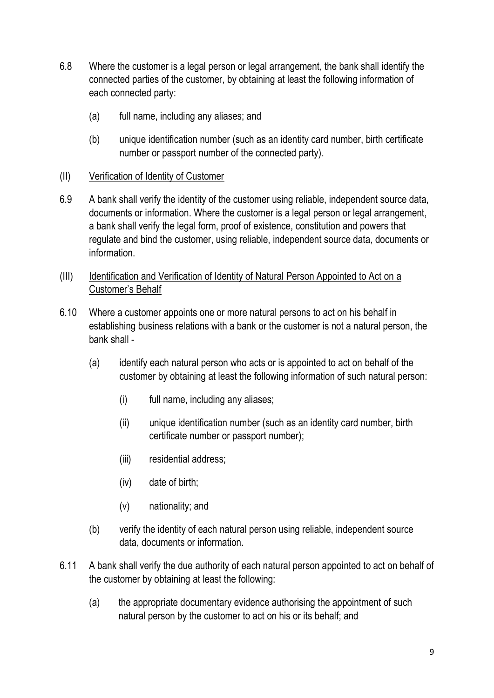- 6.8 Where the customer is a legal person or legal arrangement, the bank shall identify the connected parties of the customer, by obtaining at least the following information of each connected party:
	- (a) full name, including any aliases; and
	- (b) unique identification number (such as an identity card number, birth certificate number or passport number of the connected party).
- (II) Verification of Identity of Customer
- 6.9 A bank shall verify the identity of the customer using reliable, independent source data, documents or information. Where the customer is a legal person or legal arrangement, a bank shall verify the legal form, proof of existence, constitution and powers that regulate and bind the customer, using reliable, independent source data, documents or information.
- (III) Identification and Verification of Identity of Natural Person Appointed to Act on a Customer's Behalf
- 6.10 Where a customer appoints one or more natural persons to act on his behalf in establishing business relations with a bank or the customer is not a natural person, the bank shall -
	- (a) identify each natural person who acts or is appointed to act on behalf of the customer by obtaining at least the following information of such natural person:
		- (i) full name, including any aliases;
		- (ii) unique identification number (such as an identity card number, birth certificate number or passport number);
		- (iii) residential address;
		- (iv) date of birth;
		- (v) nationality; and
	- (b) verify the identity of each natural person using reliable, independent source data, documents or information.
- 6.11 A bank shall verify the due authority of each natural person appointed to act on behalf of the customer by obtaining at least the following:
	- (a) the appropriate documentary evidence authorising the appointment of such natural person by the customer to act on his or its behalf; and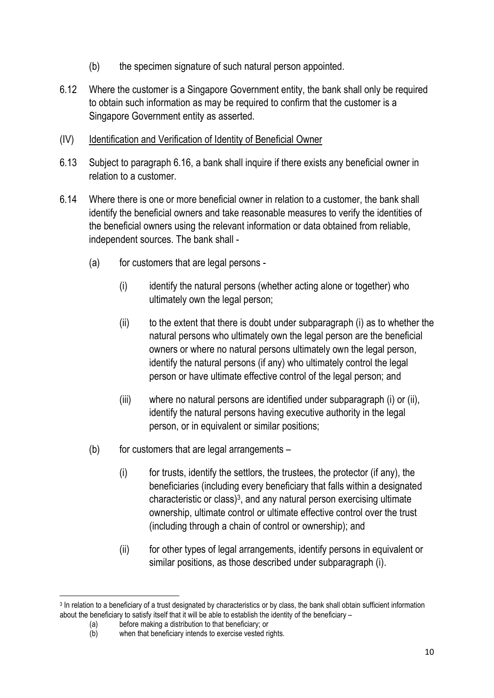- (b) the specimen signature of such natural person appointed.
- 6.12 Where the customer is a Singapore Government entity, the bank shall only be required to obtain such information as may be required to confirm that the customer is a Singapore Government entity as asserted.
- (IV) Identification and Verification of Identity of Beneficial Owner
- 6.13 Subject to paragraph 6.16, a bank shall inquire if there exists any beneficial owner in relation to a customer.
- 6.14 Where there is one or more beneficial owner in relation to a customer, the bank shall identify the beneficial owners and take reasonable measures to verify the identities of the beneficial owners using the relevant information or data obtained from reliable, independent sources. The bank shall -
	- (a) for customers that are legal persons
		- (i) identify the natural persons (whether acting alone or together) who ultimately own the legal person;
		- $(i)$  to the extent that there is doubt under subparagraph  $(i)$  as to whether the natural persons who ultimately own the legal person are the beneficial owners or where no natural persons ultimately own the legal person, identify the natural persons (if any) who ultimately control the legal person or have ultimate effective control of the legal person; and
		- (iii) where no natural persons are identified under subparagraph (i) or (ii), identify the natural persons having executive authority in the legal person, or in equivalent or similar positions;
	- $(b)$  for customers that are legal arrangements
		- (i) for trusts, identify the settlors, the trustees, the protector (if any), the beneficiaries (including every beneficiary that falls within a designated characteristic or class) $3$ , and any natural person exercising ultimate ownership, ultimate control or ultimate effective control over the trust (including through a chain of control or ownership); and
		- (ii) for other types of legal arrangements, identify persons in equivalent or similar positions, as those described under subparagraph (i).

<sup>&</sup>lt;sup>3</sup> In relation to a beneficiary of a trust designated by characteristics or by class, the bank shall obtain sufficient information about the beneficiary to satisfy itself that it will be able to establish the identity of the beneficiary –

<sup>(</sup>a) before making a distribution to that beneficiary; or <br>(b) when that beneficiary intends to exercise vested ri

when that beneficiary intends to exercise vested rights.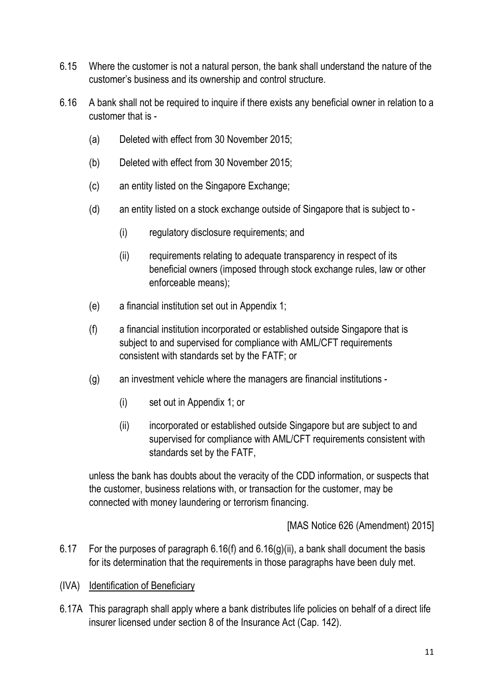- 6.15 Where the customer is not a natural person, the bank shall understand the nature of the customer's business and its ownership and control structure.
- 6.16 A bank shall not be required to inquire if there exists any beneficial owner in relation to a customer that is -
	- (a) Deleted with effect from 30 November 2015;
	- (b) Deleted with effect from 30 November 2015;
	- (c) an entity listed on the Singapore Exchange;
	- (d) an entity listed on a stock exchange outside of Singapore that is subject to
		- (i) regulatory disclosure requirements; and
		- (ii) requirements relating to adequate transparency in respect of its beneficial owners (imposed through stock exchange rules, law or other enforceable means);
	- (e) a financial institution set out in Appendix 1;
	- (f) a financial institution incorporated or established outside Singapore that is subject to and supervised for compliance with AML/CFT requirements consistent with standards set by the FATF; or
	- (g) an investment vehicle where the managers are financial institutions
		- (i) set out in Appendix 1; or
		- (ii) incorporated or established outside Singapore but are subject to and supervised for compliance with AML/CFT requirements consistent with standards set by the FATF,

unless the bank has doubts about the veracity of the CDD information, or suspects that the customer, business relations with, or transaction for the customer, may be connected with money laundering or terrorism financing.

[MAS Notice 626 (Amendment) 2015]

- 6.17 For the purposes of paragraph 6.16(f) and 6.16(g)(ii), a bank shall document the basis for its determination that the requirements in those paragraphs have been duly met.
- (IVA) Identification of Beneficiary
- 6.17A This paragraph shall apply where a bank distributes life policies on behalf of a direct life insurer licensed under section 8 of the Insurance Act (Cap. 142).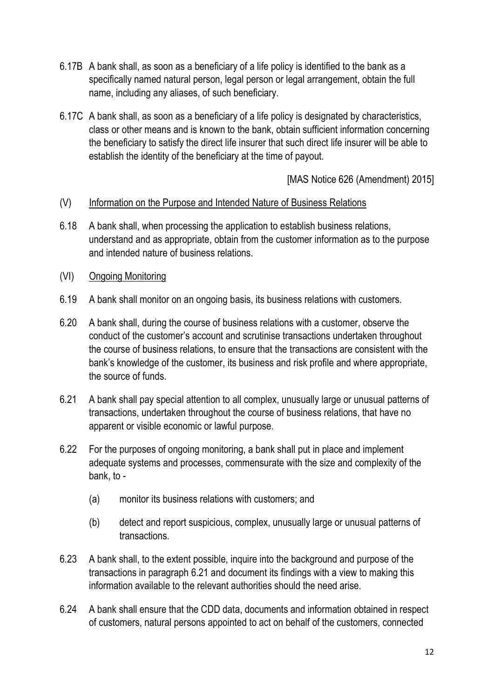- 6.17B A bank shall, as soon as a beneficiary of a life policy is identified to the bank as a specifically named natural person, legal person or legal arrangement, obtain the full name, including any aliases, of such beneficiary.
- 6.17C A bank shall, as soon as a beneficiary of a life policy is designated by characteristics, class or other means and is known to the bank, obtain sufficient information concerning the beneficiary to satisfy the direct life insurer that such direct life insurer will be able to establish the identity of the beneficiary at the time of payout.

[MAS Notice 626 (Amendment) 2015]

#### (V) Information on the Purpose and Intended Nature of Business Relations

- 6.18 A bank shall, when processing the application to establish business relations, understand and as appropriate, obtain from the customer information as to the purpose and intended nature of business relations.
- (VI) Ongoing Monitoring
- 6.19 A bank shall monitor on an ongoing basis, its business relations with customers.
- 6.20 A bank shall, during the course of business relations with a customer, observe the conduct of the customer's account and scrutinise transactions undertaken throughout the course of business relations, to ensure that the transactions are consistent with the bank's knowledge of the customer, its business and risk profile and where appropriate, the source of funds.
- 6.21 A bank shall pay special attention to all complex, unusually large or unusual patterns of transactions, undertaken throughout the course of business relations, that have no apparent or visible economic or lawful purpose.
- 6.22 For the purposes of ongoing monitoring, a bank shall put in place and implement adequate systems and processes, commensurate with the size and complexity of the bank, to -
	- (a) monitor its business relations with customers; and
	- (b) detect and report suspicious, complex, unusually large or unusual patterns of transactions.
- 6.23 A bank shall, to the extent possible, inquire into the background and purpose of the transactions in paragraph 6.21 and document its findings with a view to making this information available to the relevant authorities should the need arise.
- 6.24 A bank shall ensure that the CDD data, documents and information obtained in respect of customers, natural persons appointed to act on behalf of the customers, connected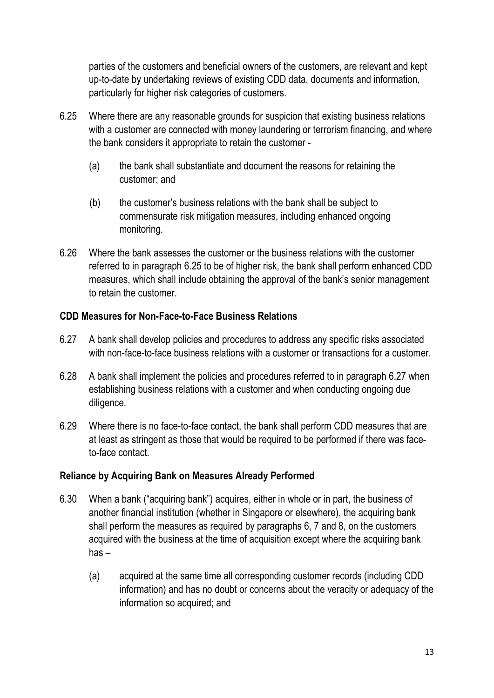parties of the customers and beneficial owners of the customers, are relevant and kept up-to-date by undertaking reviews of existing CDD data, documents and information, particularly for higher risk categories of customers.

- 6.25 Where there are any reasonable grounds for suspicion that existing business relations with a customer are connected with money laundering or terrorism financing, and where the bank considers it appropriate to retain the customer -
	- (a) the bank shall substantiate and document the reasons for retaining the customer; and
	- (b) the customer's business relations with the bank shall be subject to commensurate risk mitigation measures, including enhanced ongoing monitoring.
- 6.26 Where the bank assesses the customer or the business relations with the customer referred to in paragraph 6.25 to be of higher risk, the bank shall perform enhanced CDD measures, which shall include obtaining the approval of the bank's senior management to retain the customer.

## CDD Measures for Non-Face-to-Face Business Relations

- 6.27 A bank shall develop policies and procedures to address any specific risks associated with non-face-to-face business relations with a customer or transactions for a customer.
- 6.28 A bank shall implement the policies and procedures referred to in paragraph 6.27 when establishing business relations with a customer and when conducting ongoing due diligence.
- 6.29 Where there is no face-to-face contact, the bank shall perform CDD measures that are at least as stringent as those that would be required to be performed if there was faceto-face contact.

## Reliance by Acquiring Bank on Measures Already Performed

- 6.30 When a bank ("acquiring bank") acquires, either in whole or in part, the business of another financial institution (whether in Singapore or elsewhere), the acquiring bank shall perform the measures as required by paragraphs 6, 7 and 8, on the customers acquired with the business at the time of acquisition except where the acquiring bank has –
	- (a) acquired at the same time all corresponding customer records (including CDD information) and has no doubt or concerns about the veracity or adequacy of the information so acquired; and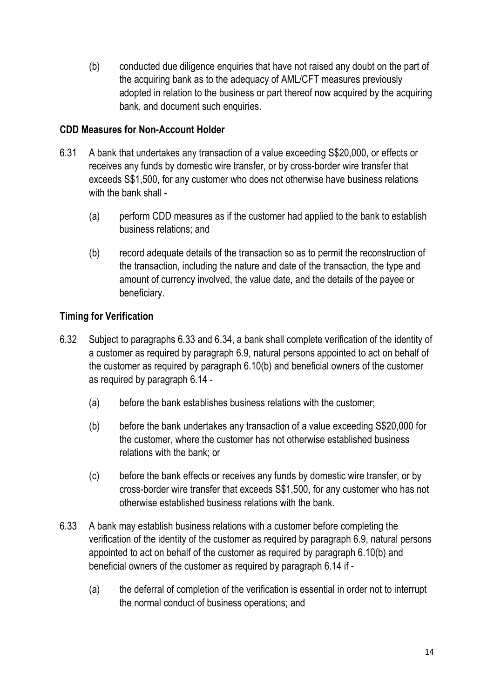(b) conducted due diligence enquiries that have not raised any doubt on the part of the acquiring bank as to the adequacy of AML/CFT measures previously adopted in relation to the business or part thereof now acquired by the acquiring bank, and document such enquiries.

## CDD Measures for Non-Account Holder

- 6.31 A bank that undertakes any transaction of a value exceeding S\$20,000, or effects or receives any funds by domestic wire transfer, or by cross-border wire transfer that exceeds S\$1,500, for any customer who does not otherwise have business relations with the bank shall -
	- (a) perform CDD measures as if the customer had applied to the bank to establish business relations; and
	- (b) record adequate details of the transaction so as to permit the reconstruction of the transaction, including the nature and date of the transaction, the type and amount of currency involved, the value date, and the details of the payee or beneficiary.

# Timing for Verification

- 6.32 Subject to paragraphs 6.33 and 6.34, a bank shall complete verification of the identity of a customer as required by paragraph 6.9, natural persons appointed to act on behalf of the customer as required by paragraph 6.10(b) and beneficial owners of the customer as required by paragraph 6.14 -
	- (a) before the bank establishes business relations with the customer;
	- (b) before the bank undertakes any transaction of a value exceeding S\$20,000 for the customer, where the customer has not otherwise established business relations with the bank; or
	- (c) before the bank effects or receives any funds by domestic wire transfer, or by cross-border wire transfer that exceeds S\$1,500, for any customer who has not otherwise established business relations with the bank.
- 6.33 A bank may establish business relations with a customer before completing the verification of the identity of the customer as required by paragraph 6.9, natural persons appointed to act on behalf of the customer as required by paragraph 6.10(b) and beneficial owners of the customer as required by paragraph 6.14 if -
	- (a) the deferral of completion of the verification is essential in order not to interrupt the normal conduct of business operations; and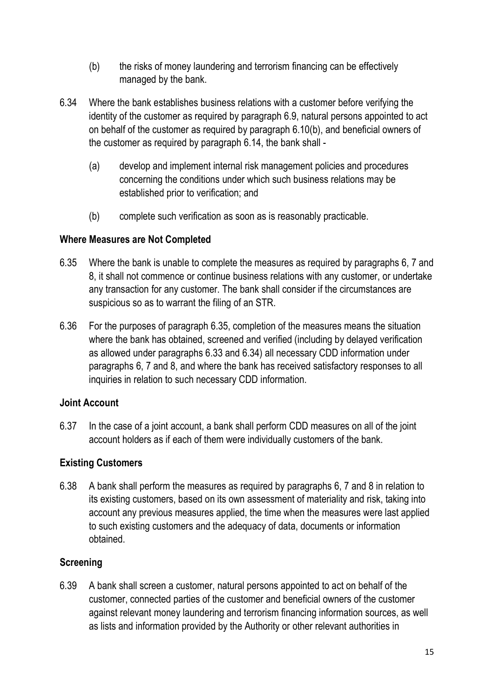- (b) the risks of money laundering and terrorism financing can be effectively managed by the bank.
- 6.34 Where the bank establishes business relations with a customer before verifying the identity of the customer as required by paragraph 6.9, natural persons appointed to act on behalf of the customer as required by paragraph 6.10(b), and beneficial owners of the customer as required by paragraph 6.14, the bank shall -
	- (a) develop and implement internal risk management policies and procedures concerning the conditions under which such business relations may be established prior to verification; and
	- (b) complete such verification as soon as is reasonably practicable.

## Where Measures are Not Completed

- 6.35 Where the bank is unable to complete the measures as required by paragraphs 6, 7 and 8, it shall not commence or continue business relations with any customer, or undertake any transaction for any customer. The bank shall consider if the circumstances are suspicious so as to warrant the filing of an STR.
- 6.36 For the purposes of paragraph 6.35, completion of the measures means the situation where the bank has obtained, screened and verified (including by delayed verification as allowed under paragraphs 6.33 and 6.34) all necessary CDD information under paragraphs 6, 7 and 8, and where the bank has received satisfactory responses to all inquiries in relation to such necessary CDD information.

## Joint Account

6.37 In the case of a joint account, a bank shall perform CDD measures on all of the joint account holders as if each of them were individually customers of the bank.

## Existing Customers

6.38 A bank shall perform the measures as required by paragraphs 6, 7 and 8 in relation to its existing customers, based on its own assessment of materiality and risk, taking into account any previous measures applied, the time when the measures were last applied to such existing customers and the adequacy of data, documents or information obtained.

## **Screening**

6.39 A bank shall screen a customer, natural persons appointed to act on behalf of the customer, connected parties of the customer and beneficial owners of the customer against relevant money laundering and terrorism financing information sources, as well as lists and information provided by the Authority or other relevant authorities in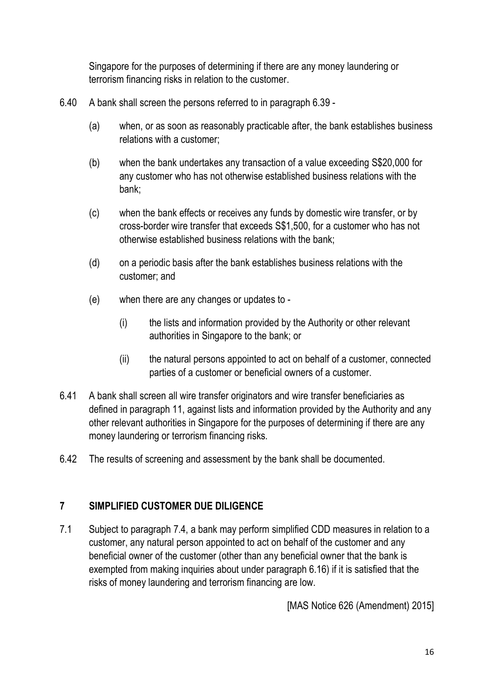Singapore for the purposes of determining if there are any money laundering or terrorism financing risks in relation to the customer.

- 6.40 A bank shall screen the persons referred to in paragraph 6.39
	- (a) when, or as soon as reasonably practicable after, the bank establishes business relations with a customer;
	- (b) when the bank undertakes any transaction of a value exceeding S\$20,000 for any customer who has not otherwise established business relations with the bank;
	- (c) when the bank effects or receives any funds by domestic wire transfer, or by cross-border wire transfer that exceeds S\$1,500, for a customer who has not otherwise established business relations with the bank;
	- (d) on a periodic basis after the bank establishes business relations with the customer; and
	- (e) when there are any changes or updates to
		- (i) the lists and information provided by the Authority or other relevant authorities in Singapore to the bank; or
		- (ii) the natural persons appointed to act on behalf of a customer, connected parties of a customer or beneficial owners of a customer.
- 6.41 A bank shall screen all wire transfer originators and wire transfer beneficiaries as defined in paragraph 11, against lists and information provided by the Authority and any other relevant authorities in Singapore for the purposes of determining if there are any money laundering or terrorism financing risks.
- 6.42 The results of screening and assessment by the bank shall be documented.

## 7 SIMPLIFIED CUSTOMER DUE DILIGENCE

7.1 Subject to paragraph 7.4, a bank may perform simplified CDD measures in relation to a customer, any natural person appointed to act on behalf of the customer and any beneficial owner of the customer (other than any beneficial owner that the bank is exempted from making inquiries about under paragraph 6.16) if it is satisfied that the risks of money laundering and terrorism financing are low.

[MAS Notice 626 (Amendment) 2015]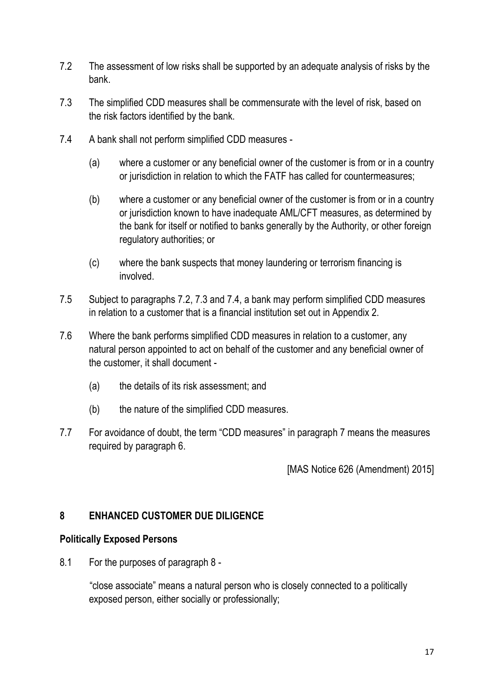- 7.2 The assessment of low risks shall be supported by an adequate analysis of risks by the bank.
- 7.3 The simplified CDD measures shall be commensurate with the level of risk, based on the risk factors identified by the bank.
- 7.4 A bank shall not perform simplified CDD measures
	- (a) where a customer or any beneficial owner of the customer is from or in a country or jurisdiction in relation to which the FATF has called for countermeasures;
	- (b) where a customer or any beneficial owner of the customer is from or in a country or jurisdiction known to have inadequate AML/CFT measures, as determined by the bank for itself or notified to banks generally by the Authority, or other foreign regulatory authorities; or
	- (c) where the bank suspects that money laundering or terrorism financing is involved.
- 7.5 Subject to paragraphs 7.2, 7.3 and 7.4, a bank may perform simplified CDD measures in relation to a customer that is a financial institution set out in Appendix 2.
- 7.6 Where the bank performs simplified CDD measures in relation to a customer, any natural person appointed to act on behalf of the customer and any beneficial owner of the customer, it shall document -
	- (a) the details of its risk assessment; and
	- (b) the nature of the simplified CDD measures.
- 7.7 For avoidance of doubt, the term "CDD measures" in paragraph 7 means the measures required by paragraph 6.

[MAS Notice 626 (Amendment) 2015]

## 8 ENHANCED CUSTOMER DUE DILIGENCE

#### Politically Exposed Persons

8.1 For the purposes of paragraph 8 -

 "close associate" means a natural person who is closely connected to a politically exposed person, either socially or professionally;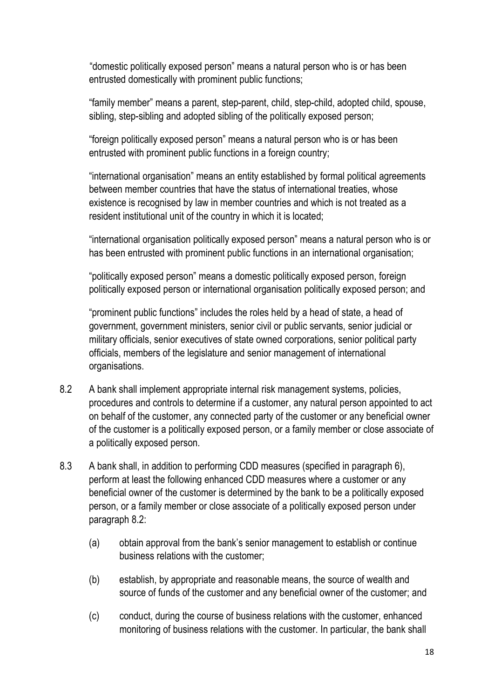"domestic politically exposed person" means a natural person who is or has been entrusted domestically with prominent public functions;

"family member" means a parent, step-parent, child, step-child, adopted child, spouse, sibling, step-sibling and adopted sibling of the politically exposed person;

"foreign politically exposed person" means a natural person who is or has been entrusted with prominent public functions in a foreign country;

"international organisation" means an entity established by formal political agreements between member countries that have the status of international treaties, whose existence is recognised by law in member countries and which is not treated as a resident institutional unit of the country in which it is located;

"international organisation politically exposed person" means a natural person who is or has been entrusted with prominent public functions in an international organisation;

"politically exposed person" means a domestic politically exposed person, foreign politically exposed person or international organisation politically exposed person; and

"prominent public functions" includes the roles held by a head of state, a head of government, government ministers, senior civil or public servants, senior judicial or military officials, senior executives of state owned corporations, senior political party officials, members of the legislature and senior management of international organisations.

- 8.2 A bank shall implement appropriate internal risk management systems, policies, procedures and controls to determine if a customer, any natural person appointed to act on behalf of the customer, any connected party of the customer or any beneficial owner of the customer is a politically exposed person, or a family member or close associate of a politically exposed person.
- 8.3 A bank shall, in addition to performing CDD measures (specified in paragraph 6), perform at least the following enhanced CDD measures where a customer or any beneficial owner of the customer is determined by the bank to be a politically exposed person, or a family member or close associate of a politically exposed person under paragraph 8.2:
	- (a) obtain approval from the bank's senior management to establish or continue business relations with the customer;
	- (b) establish, by appropriate and reasonable means, the source of wealth and source of funds of the customer and any beneficial owner of the customer; and
	- (c) conduct, during the course of business relations with the customer, enhanced monitoring of business relations with the customer. In particular, the bank shall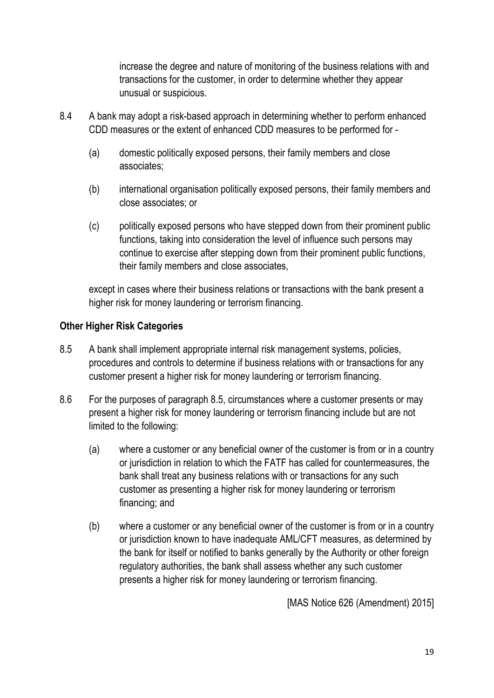increase the degree and nature of monitoring of the business relations with and transactions for the customer, in order to determine whether they appear unusual or suspicious.

- 8.4 A bank may adopt a risk-based approach in determining whether to perform enhanced CDD measures or the extent of enhanced CDD measures to be performed for -
	- (a) domestic politically exposed persons, their family members and close associates;
	- (b) international organisation politically exposed persons, their family members and close associates; or
	- (c) politically exposed persons who have stepped down from their prominent public functions, taking into consideration the level of influence such persons may continue to exercise after stepping down from their prominent public functions, their family members and close associates,

except in cases where their business relations or transactions with the bank present a higher risk for money laundering or terrorism financing.

## Other Higher Risk Categories

- 8.5 A bank shall implement appropriate internal risk management systems, policies, procedures and controls to determine if business relations with or transactions for any customer present a higher risk for money laundering or terrorism financing.
- 8.6 For the purposes of paragraph 8.5, circumstances where a customer presents or may present a higher risk for money laundering or terrorism financing include but are not limited to the following:
	- (a) where a customer or any beneficial owner of the customer is from or in a country or jurisdiction in relation to which the FATF has called for countermeasures, the bank shall treat any business relations with or transactions for any such customer as presenting a higher risk for money laundering or terrorism financing; and
	- (b) where a customer or any beneficial owner of the customer is from or in a country or jurisdiction known to have inadequate AML/CFT measures, as determined by the bank for itself or notified to banks generally by the Authority or other foreign regulatory authorities, the bank shall assess whether any such customer presents a higher risk for money laundering or terrorism financing.

[MAS Notice 626 (Amendment) 2015]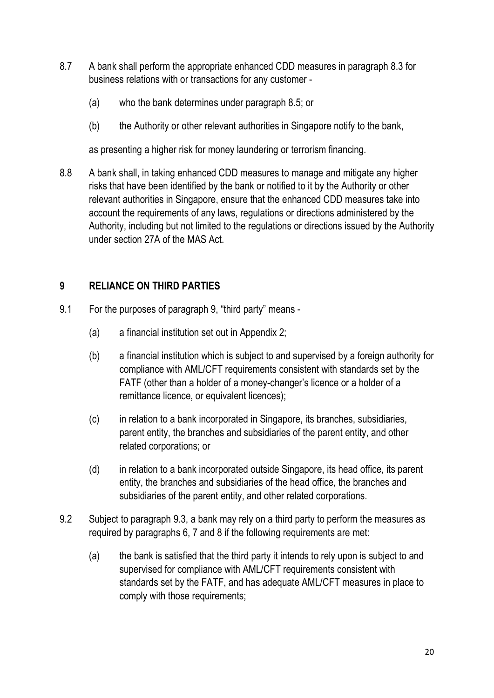- 8.7 A bank shall perform the appropriate enhanced CDD measures in paragraph 8.3 for business relations with or transactions for any customer -
	- (a) who the bank determines under paragraph 8.5; or
	- (b) the Authority or other relevant authorities in Singapore notify to the bank,

as presenting a higher risk for money laundering or terrorism financing.

8.8 A bank shall, in taking enhanced CDD measures to manage and mitigate any higher risks that have been identified by the bank or notified to it by the Authority or other relevant authorities in Singapore, ensure that the enhanced CDD measures take into account the requirements of any laws, regulations or directions administered by the Authority, including but not limited to the regulations or directions issued by the Authority under section 27A of the MAS Act.

# 9 RELIANCE ON THIRD PARTIES

- 9.1 For the purposes of paragraph 9, "third party" means
	- (a) a financial institution set out in Appendix 2;
	- (b) a financial institution which is subject to and supervised by a foreign authority for compliance with AML/CFT requirements consistent with standards set by the FATF (other than a holder of a money-changer's licence or a holder of a remittance licence, or equivalent licences);
	- (c) in relation to a bank incorporated in Singapore, its branches, subsidiaries, parent entity, the branches and subsidiaries of the parent entity, and other related corporations; or
	- (d) in relation to a bank incorporated outside Singapore, its head office, its parent entity, the branches and subsidiaries of the head office, the branches and subsidiaries of the parent entity, and other related corporations.
- 9.2 Subject to paragraph 9.3, a bank may rely on a third party to perform the measures as required by paragraphs 6, 7 and 8 if the following requirements are met:
	- (a) the bank is satisfied that the third party it intends to rely upon is subject to and supervised for compliance with AML/CFT requirements consistent with standards set by the FATF, and has adequate AML/CFT measures in place to comply with those requirements;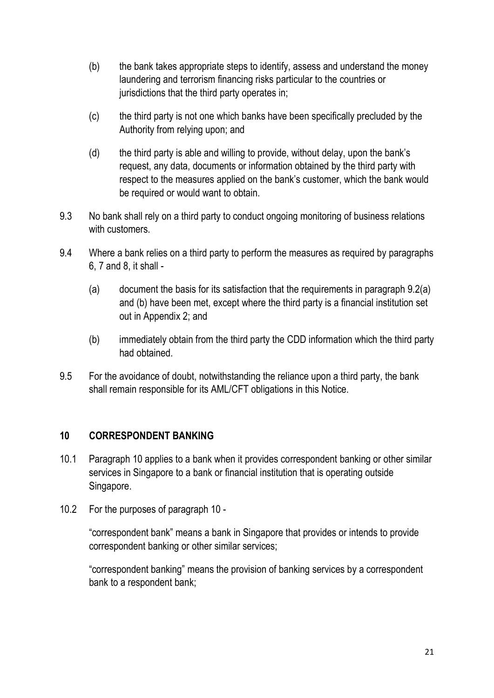- (b) the bank takes appropriate steps to identify, assess and understand the money laundering and terrorism financing risks particular to the countries or jurisdictions that the third party operates in;
- (c) the third party is not one which banks have been specifically precluded by the Authority from relying upon; and
- (d) the third party is able and willing to provide, without delay, upon the bank's request, any data, documents or information obtained by the third party with respect to the measures applied on the bank's customer, which the bank would be required or would want to obtain.
- 9.3 No bank shall rely on a third party to conduct ongoing monitoring of business relations with customers.
- 9.4 Where a bank relies on a third party to perform the measures as required by paragraphs 6, 7 and 8, it shall -
	- (a) document the basis for its satisfaction that the requirements in paragraph  $9.2(a)$ and (b) have been met, except where the third party is a financial institution set out in Appendix 2; and
	- (b) immediately obtain from the third party the CDD information which the third party had obtained.
- 9.5 For the avoidance of doubt, notwithstanding the reliance upon a third party, the bank shall remain responsible for its AML/CFT obligations in this Notice.

## 10 CORRESPONDENT BANKING

- 10.1 Paragraph 10 applies to a bank when it provides correspondent banking or other similar services in Singapore to a bank or financial institution that is operating outside Singapore.
- 10.2 For the purposes of paragraph 10 -

"correspondent bank" means a bank in Singapore that provides or intends to provide correspondent banking or other similar services;

"correspondent banking" means the provision of banking services by a correspondent bank to a respondent bank;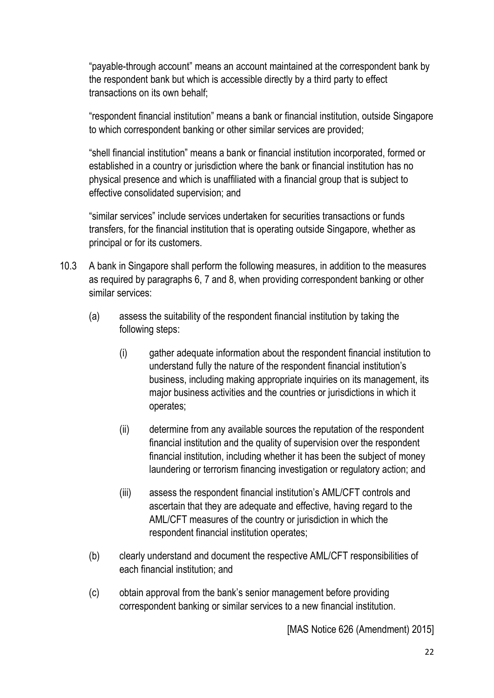"payable-through account" means an account maintained at the correspondent bank by the respondent bank but which is accessible directly by a third party to effect transactions on its own behalf;

"respondent financial institution" means a bank or financial institution, outside Singapore to which correspondent banking or other similar services are provided;

"shell financial institution" means a bank or financial institution incorporated, formed or established in a country or jurisdiction where the bank or financial institution has no physical presence and which is unaffiliated with a financial group that is subject to effective consolidated supervision; and

"similar services" include services undertaken for securities transactions or funds transfers, for the financial institution that is operating outside Singapore, whether as principal or for its customers.

- 10.3 A bank in Singapore shall perform the following measures, in addition to the measures as required by paragraphs 6, 7 and 8, when providing correspondent banking or other similar services:
	- (a) assess the suitability of the respondent financial institution by taking the following steps:
		- (i) gather adequate information about the respondent financial institution to understand fully the nature of the respondent financial institution's business, including making appropriate inquiries on its management, its major business activities and the countries or jurisdictions in which it operates;
		- (ii) determine from any available sources the reputation of the respondent financial institution and the quality of supervision over the respondent financial institution, including whether it has been the subject of money laundering or terrorism financing investigation or regulatory action; and
		- (iii) assess the respondent financial institution's AML/CFT controls and ascertain that they are adequate and effective, having regard to the AML/CFT measures of the country or jurisdiction in which the respondent financial institution operates;
	- (b) clearly understand and document the respective AML/CFT responsibilities of each financial institution; and
	- (c) obtain approval from the bank's senior management before providing correspondent banking or similar services to a new financial institution.

[MAS Notice 626 (Amendment) 2015]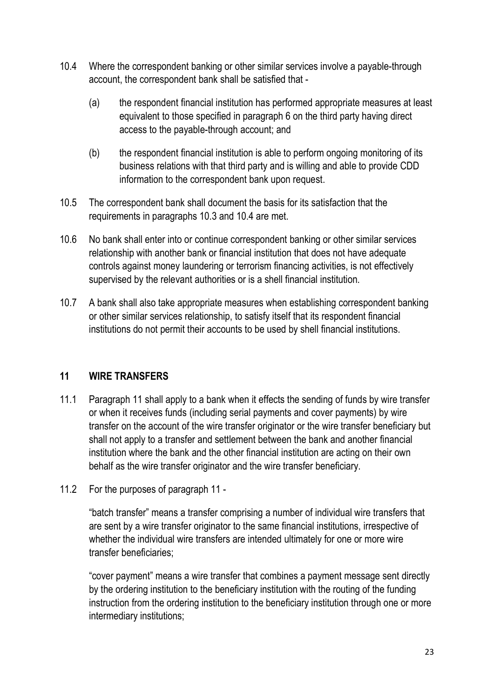- 10.4 Where the correspondent banking or other similar services involve a payable-through account, the correspondent bank shall be satisfied that -
	- (a) the respondent financial institution has performed appropriate measures at least equivalent to those specified in paragraph 6 on the third party having direct access to the payable-through account; and
	- (b) the respondent financial institution is able to perform ongoing monitoring of its business relations with that third party and is willing and able to provide CDD information to the correspondent bank upon request.
- 10.5 The correspondent bank shall document the basis for its satisfaction that the requirements in paragraphs 10.3 and 10.4 are met.
- 10.6 No bank shall enter into or continue correspondent banking or other similar services relationship with another bank or financial institution that does not have adequate controls against money laundering or terrorism financing activities, is not effectively supervised by the relevant authorities or is a shell financial institution.
- 10.7 A bank shall also take appropriate measures when establishing correspondent banking or other similar services relationship, to satisfy itself that its respondent financial institutions do not permit their accounts to be used by shell financial institutions.

## 11 WIRE TRANSFERS

- 11.1 Paragraph 11 shall apply to a bank when it effects the sending of funds by wire transfer or when it receives funds (including serial payments and cover payments) by wire transfer on the account of the wire transfer originator or the wire transfer beneficiary but shall not apply to a transfer and settlement between the bank and another financial institution where the bank and the other financial institution are acting on their own behalf as the wire transfer originator and the wire transfer beneficiary.
- 11.2 For the purposes of paragraph 11 -

"batch transfer" means a transfer comprising a number of individual wire transfers that are sent by a wire transfer originator to the same financial institutions, irrespective of whether the individual wire transfers are intended ultimately for one or more wire transfer beneficiaries;

"cover payment" means a wire transfer that combines a payment message sent directly by the ordering institution to the beneficiary institution with the routing of the funding instruction from the ordering institution to the beneficiary institution through one or more intermediary institutions;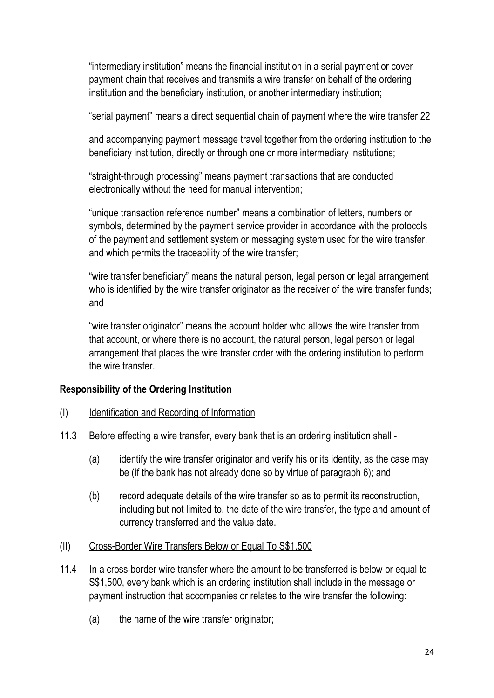"intermediary institution" means the financial institution in a serial payment or cover payment chain that receives and transmits a wire transfer on behalf of the ordering institution and the beneficiary institution, or another intermediary institution;

"serial payment" means a direct sequential chain of payment where the wire transfer 22

and accompanying payment message travel together from the ordering institution to the beneficiary institution, directly or through one or more intermediary institutions;

"straight-through processing" means payment transactions that are conducted electronically without the need for manual intervention;

"unique transaction reference number" means a combination of letters, numbers or symbols, determined by the payment service provider in accordance with the protocols of the payment and settlement system or messaging system used for the wire transfer, and which permits the traceability of the wire transfer;

"wire transfer beneficiary" means the natural person, legal person or legal arrangement who is identified by the wire transfer originator as the receiver of the wire transfer funds; and

"wire transfer originator" means the account holder who allows the wire transfer from that account, or where there is no account, the natural person, legal person or legal arrangement that places the wire transfer order with the ordering institution to perform the wire transfer.

## Responsibility of the Ordering Institution

- (I) Identification and Recording of Information
- 11.3 Before effecting a wire transfer, every bank that is an ordering institution shall
	- (a) identify the wire transfer originator and verify his or its identity, as the case may be (if the bank has not already done so by virtue of paragraph 6); and
	- (b) record adequate details of the wire transfer so as to permit its reconstruction, including but not limited to, the date of the wire transfer, the type and amount of currency transferred and the value date.
- (II) Cross-Border Wire Transfers Below or Equal To S\$1,500
- 11.4 In a cross-border wire transfer where the amount to be transferred is below or equal to S\$1,500, every bank which is an ordering institution shall include in the message or payment instruction that accompanies or relates to the wire transfer the following:
	- (a) the name of the wire transfer originator;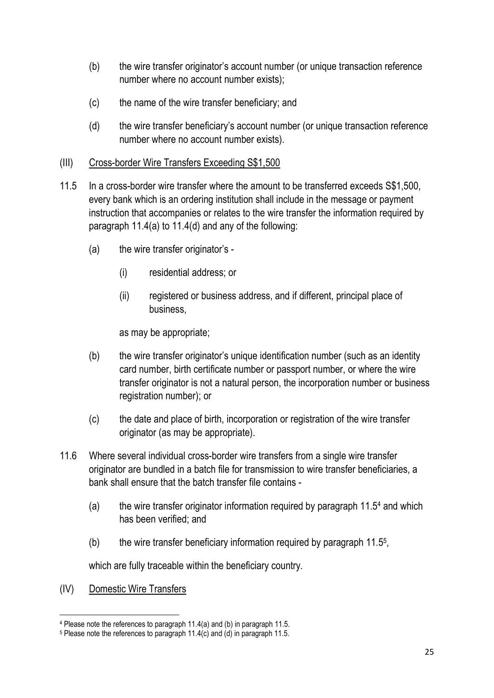- (b) the wire transfer originator's account number (or unique transaction reference number where no account number exists);
- (c) the name of the wire transfer beneficiary; and
- (d) the wire transfer beneficiary's account number (or unique transaction reference number where no account number exists).

#### (III) Cross-border Wire Transfers Exceeding S\$1,500

- 11.5 In a cross-border wire transfer where the amount to be transferred exceeds S\$1,500, every bank which is an ordering institution shall include in the message or payment instruction that accompanies or relates to the wire transfer the information required by paragraph 11.4(a) to 11.4(d) and any of the following:
	- (a) the wire transfer originator's
		- (i) residential address; or
		- (ii) registered or business address, and if different, principal place of business,

as may be appropriate;

- (b) the wire transfer originator's unique identification number (such as an identity card number, birth certificate number or passport number, or where the wire transfer originator is not a natural person, the incorporation number or business registration number); or
- (c) the date and place of birth, incorporation or registration of the wire transfer originator (as may be appropriate).
- 11.6 Where several individual cross-border wire transfers from a single wire transfer originator are bundled in a batch file for transmission to wire transfer beneficiaries, a bank shall ensure that the batch transfer file contains -
	- (a) the wire transfer originator information required by paragraph 11.5<sup>4</sup> and which has been verified; and
	- (b) the wire transfer beneficiary information required by paragraph 11.5<sup>5</sup> ,

which are fully traceable within the beneficiary country.

(IV) Domestic Wire Transfers

<sup>4</sup> Please note the references to paragraph 11.4(a) and (b) in paragraph 11.5.

<sup>5</sup> Please note the references to paragraph 11.4(c) and (d) in paragraph 11.5.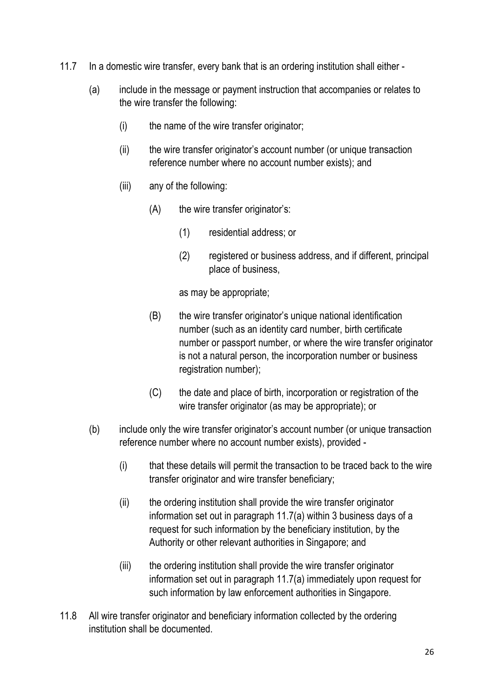- 11.7 In a domestic wire transfer, every bank that is an ordering institution shall either
	- (a) include in the message or payment instruction that accompanies or relates to the wire transfer the following:
		- (i) the name of the wire transfer originator;
		- (ii) the wire transfer originator's account number (or unique transaction reference number where no account number exists); and
		- (iii) any of the following:
			- (A) the wire transfer originator's:
				- (1) residential address; or
				- (2) registered or business address, and if different, principal place of business,

as may be appropriate;

- (B) the wire transfer originator's unique national identification number (such as an identity card number, birth certificate number or passport number, or where the wire transfer originator is not a natural person, the incorporation number or business registration number);
- (C) the date and place of birth, incorporation or registration of the wire transfer originator (as may be appropriate); or
- (b) include only the wire transfer originator's account number (or unique transaction reference number where no account number exists), provided -
	- (i) that these details will permit the transaction to be traced back to the wire transfer originator and wire transfer beneficiary;
	- (ii) the ordering institution shall provide the wire transfer originator information set out in paragraph 11.7(a) within 3 business days of a request for such information by the beneficiary institution, by the Authority or other relevant authorities in Singapore; and
	- (iii) the ordering institution shall provide the wire transfer originator information set out in paragraph 11.7(a) immediately upon request for such information by law enforcement authorities in Singapore.
- 11.8 All wire transfer originator and beneficiary information collected by the ordering institution shall be documented.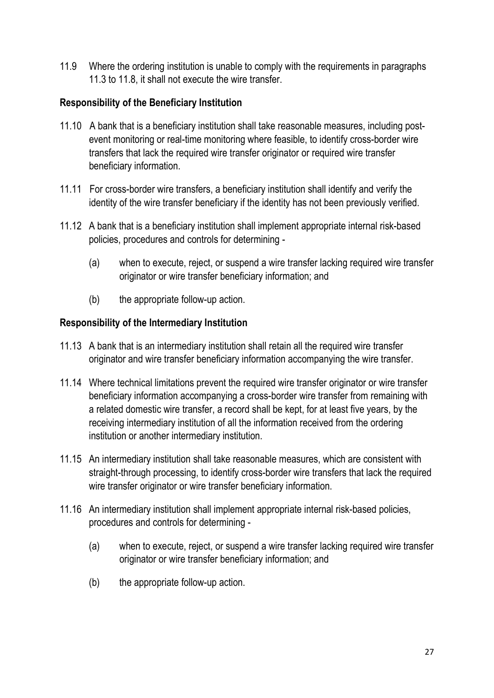11.9 Where the ordering institution is unable to comply with the requirements in paragraphs 11.3 to 11.8, it shall not execute the wire transfer.

#### Responsibility of the Beneficiary Institution

- 11.10 A bank that is a beneficiary institution shall take reasonable measures, including postevent monitoring or real-time monitoring where feasible, to identify cross-border wire transfers that lack the required wire transfer originator or required wire transfer beneficiary information.
- 11.11 For cross-border wire transfers, a beneficiary institution shall identify and verify the identity of the wire transfer beneficiary if the identity has not been previously verified.
- 11.12 A bank that is a beneficiary institution shall implement appropriate internal risk-based policies, procedures and controls for determining -
	- (a) when to execute, reject, or suspend a wire transfer lacking required wire transfer originator or wire transfer beneficiary information; and
	- (b) the appropriate follow-up action.

#### Responsibility of the Intermediary Institution

- 11.13 A bank that is an intermediary institution shall retain all the required wire transfer originator and wire transfer beneficiary information accompanying the wire transfer.
- 11.14 Where technical limitations prevent the required wire transfer originator or wire transfer beneficiary information accompanying a cross-border wire transfer from remaining with a related domestic wire transfer, a record shall be kept, for at least five years, by the receiving intermediary institution of all the information received from the ordering institution or another intermediary institution.
- 11.15 An intermediary institution shall take reasonable measures, which are consistent with straight-through processing, to identify cross-border wire transfers that lack the required wire transfer originator or wire transfer beneficiary information.
- 11.16 An intermediary institution shall implement appropriate internal risk-based policies, procedures and controls for determining -
	- (a) when to execute, reject, or suspend a wire transfer lacking required wire transfer originator or wire transfer beneficiary information; and
	- (b) the appropriate follow-up action.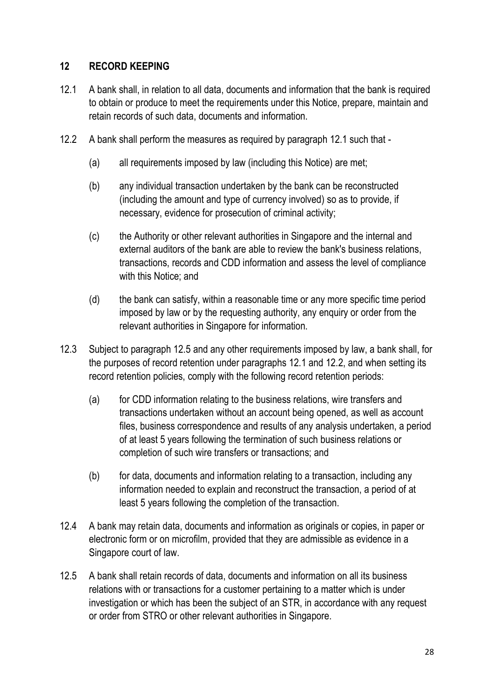## 12 RECORD KEEPING

- 12.1 A bank shall, in relation to all data, documents and information that the bank is required to obtain or produce to meet the requirements under this Notice, prepare, maintain and retain records of such data, documents and information.
- 12.2 A bank shall perform the measures as required by paragraph 12.1 such that
	- (a) all requirements imposed by law (including this Notice) are met;
	- (b) any individual transaction undertaken by the bank can be reconstructed (including the amount and type of currency involved) so as to provide, if necessary, evidence for prosecution of criminal activity;
	- (c) the Authority or other relevant authorities in Singapore and the internal and external auditors of the bank are able to review the bank's business relations, transactions, records and CDD information and assess the level of compliance with this Notice; and
	- (d) the bank can satisfy, within a reasonable time or any more specific time period imposed by law or by the requesting authority, any enquiry or order from the relevant authorities in Singapore for information.
- 12.3 Subject to paragraph 12.5 and any other requirements imposed by law, a bank shall, for the purposes of record retention under paragraphs 12.1 and 12.2, and when setting its record retention policies, comply with the following record retention periods:
	- (a) for CDD information relating to the business relations, wire transfers and transactions undertaken without an account being opened, as well as account files, business correspondence and results of any analysis undertaken, a period of at least 5 years following the termination of such business relations or completion of such wire transfers or transactions; and
	- (b) for data, documents and information relating to a transaction, including any information needed to explain and reconstruct the transaction, a period of at least 5 years following the completion of the transaction.
- 12.4 A bank may retain data, documents and information as originals or copies, in paper or electronic form or on microfilm, provided that they are admissible as evidence in a Singapore court of law.
- 12.5 A bank shall retain records of data, documents and information on all its business relations with or transactions for a customer pertaining to a matter which is under investigation or which has been the subject of an STR, in accordance with any request or order from STRO or other relevant authorities in Singapore.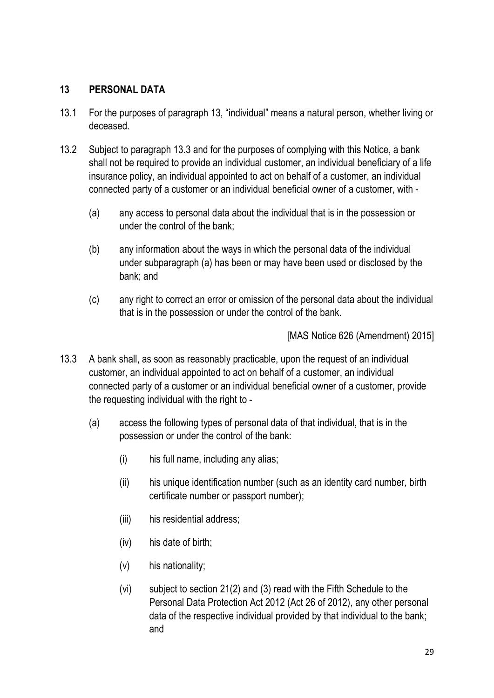## 13 PERSONAL DATA

- 13.1 For the purposes of paragraph 13, "individual" means a natural person, whether living or deceased.
- 13.2 Subject to paragraph 13.3 and for the purposes of complying with this Notice, a bank shall not be required to provide an individual customer, an individual beneficiary of a life insurance policy, an individual appointed to act on behalf of a customer, an individual connected party of a customer or an individual beneficial owner of a customer, with -
	- (a) any access to personal data about the individual that is in the possession or under the control of the bank;
	- (b) any information about the ways in which the personal data of the individual under subparagraph (a) has been or may have been used or disclosed by the bank; and
	- (c) any right to correct an error or omission of the personal data about the individual that is in the possession or under the control of the bank.

[MAS Notice 626 (Amendment) 2015]

- 13.3 A bank shall, as soon as reasonably practicable, upon the request of an individual customer, an individual appointed to act on behalf of a customer, an individual connected party of a customer or an individual beneficial owner of a customer, provide the requesting individual with the right to -
	- (a) access the following types of personal data of that individual, that is in the possession or under the control of the bank:
		- (i) his full name, including any alias;
		- (ii) his unique identification number (such as an identity card number, birth certificate number or passport number);
		- (iii) his residential address;
		- (iv) his date of birth;
		- (v) his nationality;
		- (vi) subject to section 21(2) and (3) read with the Fifth Schedule to the Personal Data Protection Act 2012 (Act 26 of 2012), any other personal data of the respective individual provided by that individual to the bank; and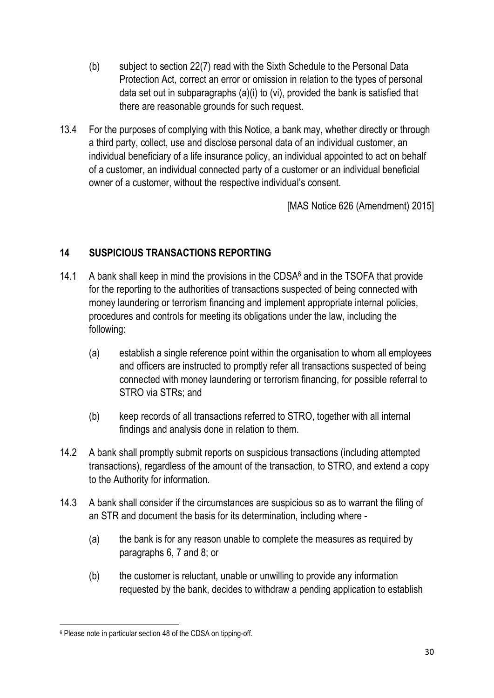- (b) subject to section 22(7) read with the Sixth Schedule to the Personal Data Protection Act, correct an error or omission in relation to the types of personal data set out in subparagraphs (a)(i) to (vi), provided the bank is satisfied that there are reasonable grounds for such request.
- 13.4 For the purposes of complying with this Notice, a bank may, whether directly or through a third party, collect, use and disclose personal data of an individual customer, an individual beneficiary of a life insurance policy, an individual appointed to act on behalf of a customer, an individual connected party of a customer or an individual beneficial owner of a customer, without the respective individual's consent.

[MAS Notice 626 (Amendment) 2015]

# 14 SUSPICIOUS TRANSACTIONS REPORTING

- 14.1 A bank shall keep in mind the provisions in the CDSA<sup>6</sup> and in the TSOFA that provide for the reporting to the authorities of transactions suspected of being connected with money laundering or terrorism financing and implement appropriate internal policies, procedures and controls for meeting its obligations under the law, including the following:
	- (a) establish a single reference point within the organisation to whom all employees and officers are instructed to promptly refer all transactions suspected of being connected with money laundering or terrorism financing, for possible referral to STRO via STRs; and
	- (b) keep records of all transactions referred to STRO, together with all internal findings and analysis done in relation to them.
- 14.2 A bank shall promptly submit reports on suspicious transactions (including attempted transactions), regardless of the amount of the transaction, to STRO, and extend a copy to the Authority for information.
- 14.3 A bank shall consider if the circumstances are suspicious so as to warrant the filing of an STR and document the basis for its determination, including where -
	- (a) the bank is for any reason unable to complete the measures as required by paragraphs 6, 7 and 8; or
	- (b) the customer is reluctant, unable or unwilling to provide any information requested by the bank, decides to withdraw a pending application to establish

<sup>6</sup> Please note in particular section 48 of the CDSA on tipping-off.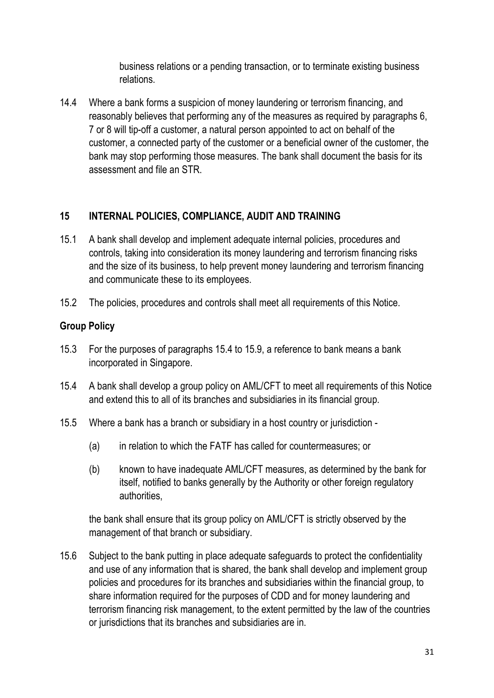business relations or a pending transaction, or to terminate existing business relations.

14.4 Where a bank forms a suspicion of money laundering or terrorism financing, and reasonably believes that performing any of the measures as required by paragraphs 6, 7 or 8 will tip-off a customer, a natural person appointed to act on behalf of the customer, a connected party of the customer or a beneficial owner of the customer, the bank may stop performing those measures. The bank shall document the basis for its assessment and file an STR.

## 15 INTERNAL POLICIES, COMPLIANCE, AUDIT AND TRAINING

- 15.1 A bank shall develop and implement adequate internal policies, procedures and controls, taking into consideration its money laundering and terrorism financing risks and the size of its business, to help prevent money laundering and terrorism financing and communicate these to its employees.
- 15.2 The policies, procedures and controls shall meet all requirements of this Notice.

## Group Policy

- 15.3 For the purposes of paragraphs 15.4 to 15.9, a reference to bank means a bank incorporated in Singapore.
- 15.4 A bank shall develop a group policy on AML/CFT to meet all requirements of this Notice and extend this to all of its branches and subsidiaries in its financial group.
- 15.5 Where a bank has a branch or subsidiary in a host country or jurisdiction
	- (a) in relation to which the FATF has called for countermeasures; or
	- (b) known to have inadequate AML/CFT measures, as determined by the bank for itself, notified to banks generally by the Authority or other foreign regulatory authorities,

the bank shall ensure that its group policy on AML/CFT is strictly observed by the management of that branch or subsidiary.

15.6 Subject to the bank putting in place adequate safeguards to protect the confidentiality and use of any information that is shared, the bank shall develop and implement group policies and procedures for its branches and subsidiaries within the financial group, to share information required for the purposes of CDD and for money laundering and terrorism financing risk management, to the extent permitted by the law of the countries or jurisdictions that its branches and subsidiaries are in.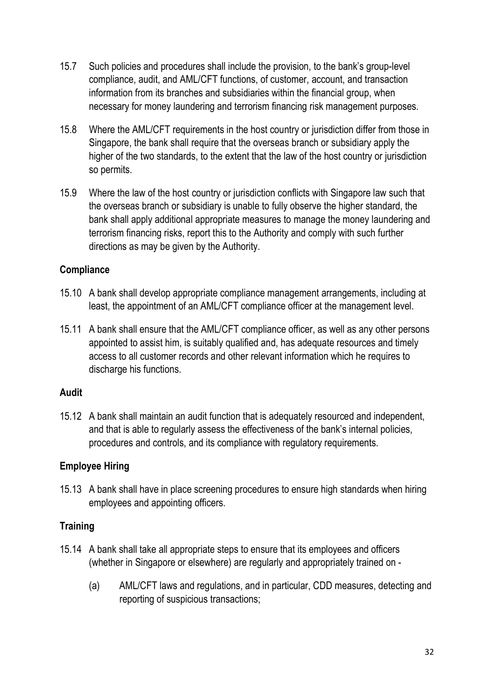- 15.7 Such policies and procedures shall include the provision, to the bank's group-level compliance, audit, and AML/CFT functions, of customer, account, and transaction information from its branches and subsidiaries within the financial group, when necessary for money laundering and terrorism financing risk management purposes.
- 15.8 Where the AML/CFT requirements in the host country or jurisdiction differ from those in Singapore, the bank shall require that the overseas branch or subsidiary apply the higher of the two standards, to the extent that the law of the host country or jurisdiction so permits.
- 15.9 Where the law of the host country or jurisdiction conflicts with Singapore law such that the overseas branch or subsidiary is unable to fully observe the higher standard, the bank shall apply additional appropriate measures to manage the money laundering and terrorism financing risks, report this to the Authority and comply with such further directions as may be given by the Authority.

#### **Compliance**

- 15.10 A bank shall develop appropriate compliance management arrangements, including at least, the appointment of an AML/CFT compliance officer at the management level.
- 15.11 A bank shall ensure that the AML/CFT compliance officer, as well as any other persons appointed to assist him, is suitably qualified and, has adequate resources and timely access to all customer records and other relevant information which he requires to discharge his functions.

## Audit

15.12 A bank shall maintain an audit function that is adequately resourced and independent, and that is able to regularly assess the effectiveness of the bank's internal policies, procedures and controls, and its compliance with regulatory requirements.

## Employee Hiring

15.13 A bank shall have in place screening procedures to ensure high standards when hiring employees and appointing officers.

## **Training**

- 15.14 A bank shall take all appropriate steps to ensure that its employees and officers (whether in Singapore or elsewhere) are regularly and appropriately trained on -
	- (a) AML/CFT laws and regulations, and in particular, CDD measures, detecting and reporting of suspicious transactions;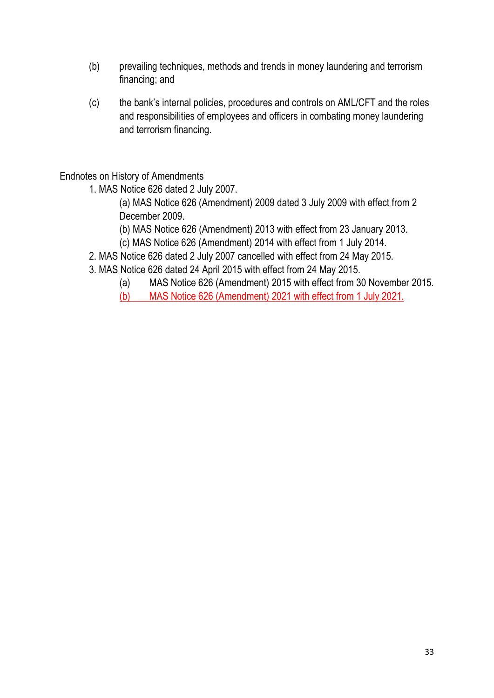- (b) prevailing techniques, methods and trends in money laundering and terrorism financing; and
- (c) the bank's internal policies, procedures and controls on AML/CFT and the roles and responsibilities of employees and officers in combating money laundering and terrorism financing.

Endnotes on History of Amendments

1. MAS Notice 626 dated 2 July 2007.

 (a) MAS Notice 626 (Amendment) 2009 dated 3 July 2009 with effect from 2 December 2009.

(b) MAS Notice 626 (Amendment) 2013 with effect from 23 January 2013.

(c) MAS Notice 626 (Amendment) 2014 with effect from 1 July 2014.

- 2. MAS Notice 626 dated 2 July 2007 cancelled with effect from 24 May 2015.
- 3. MAS Notice 626 dated 24 April 2015 with effect from 24 May 2015.
	- (a) MAS Notice 626 (Amendment) 2015 with effect from 30 November 2015.
	- (b) MAS Notice 626 (Amendment) 2021 with effect from 1 July 2021.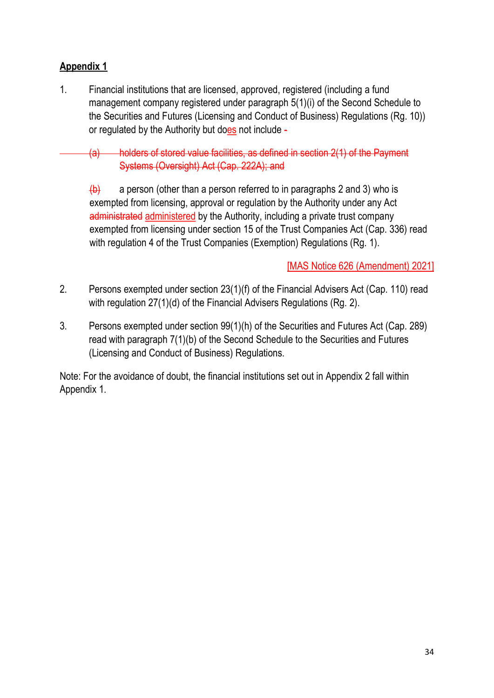# Appendix 1

1. Financial institutions that are licensed, approved, registered (including a fund management company registered under paragraph 5(1)(i) of the Second Schedule to the Securities and Futures (Licensing and Conduct of Business) Regulations (Rg. 10)) or regulated by the Authority but does not include -

 (a) holders of stored value facilities, as defined in section 2(1) of the Payment Systems (Oversight) Act (Cap. 222A); and

 $\left(\frac{b}{c}\right)$  a person (other than a person referred to in paragraphs 2 and 3) who is exempted from licensing, approval or regulation by the Authority under any Act administrated administered by the Authority, including a private trust company exempted from licensing under section 15 of the Trust Companies Act (Cap. 336) read with regulation 4 of the Trust Companies (Exemption) Regulations (Rg. 1).

# [MAS Notice 626 (Amendment) 2021]

- 2. Persons exempted under section 23(1)(f) of the Financial Advisers Act (Cap. 110) read with regulation 27(1)(d) of the Financial Advisers Regulations (Rg. 2).
- 3. Persons exempted under section 99(1)(h) of the Securities and Futures Act (Cap. 289) read with paragraph 7(1)(b) of the Second Schedule to the Securities and Futures (Licensing and Conduct of Business) Regulations.

Note: For the avoidance of doubt, the financial institutions set out in Appendix 2 fall within Appendix 1.